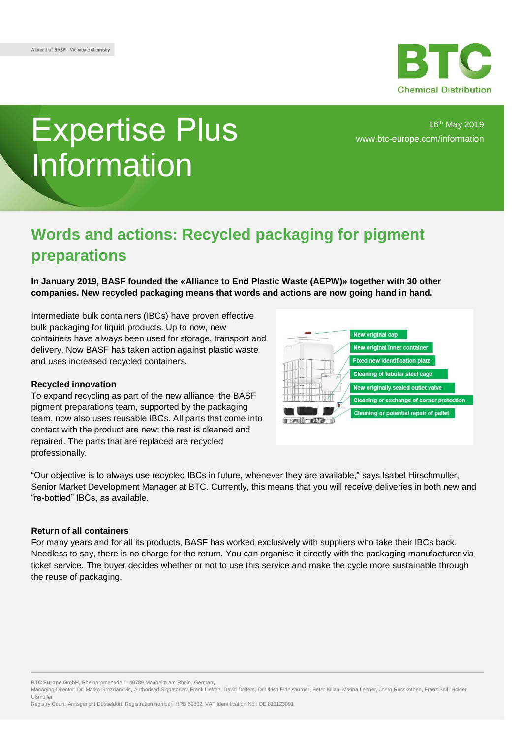

# Expertise Plus Information

16th May 2019 [www.btc-europe.com/information](https://www.btc-europe.com/en/DE/newsletter-form/)

## **Words and actions: Recycled packaging for pigment preparations**

**In January 2019, BASF founded the «Alliance to End Plastic Waste (AEPW)» together with 30 other companies. New recycled packaging means that words and actions are now going hand in hand.**

Intermediate bulk containers (IBCs) have proven effective bulk packaging for liquid products. Up to now, new containers have always been used for storage, transport and delivery. Now BASF has taken action against plastic waste and uses increased recycled containers.

#### **Recycled innovation**

To expand recycling as part of the new alliance, the BASF pigment preparations team, supported by the packaging team, now also uses reusable IBCs. All parts that come into contact with the product are new; the rest is cleaned and repaired. The parts that are replaced are recycled professionally.



"Our objective is to always use recycled IBCs in future, whenever they are available," says Isabel Hirschmuller, Senior Market Development Manager at BTC. Currently, this means that you will receive deliveries in both new and "re-bottled" IBCs, as available.

### **Return of all containers**

For many years and for all its products, BASF has worked exclusively with suppliers who take their IBCs back. Needless to say, there is no charge for the return. You can organise it directly with the packaging manufacturer via ticket service. The buyer decides whether or not to use this service and make the cycle more sustainable through the reuse of packaging.

**BTC Europe GmbH**, Rheinpromenade 1, 40789 Monheim am Rhein, Germany

Managing Director: Dr. Marko Grozdanovic, Authorised Signatories: Frank Defren, David Deiters, Dr Ulrich Eidelsburger, Peter Kilian, Marina Lehner, Joerg Rosskothen, Franz Saif, Holger Ußmüller

Registry Court: Amtsgericht Düsseldorf, Registration number: HRB 69802, VAT Identification No.: DE 811123091